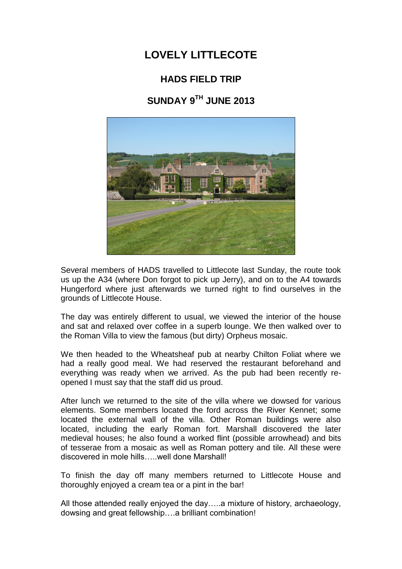## **LOVELY LITTLECOTE**

## **HADS FIELD TRIP**

## **SUNDAY 9TH JUNE 2013**



Several members of HADS travelled to Littlecote last Sunday, the route took us up the A34 (where Don forgot to pick up Jerry), and on to the A4 towards Hungerford where just afterwards we turned right to find ourselves in the grounds of Littlecote House.

The day was entirely different to usual, we viewed the interior of the house and sat and relaxed over coffee in a superb lounge. We then walked over to the Roman Villa to view the famous (but dirty) Orpheus mosaic.

We then headed to the Wheatsheaf pub at nearby Chilton Foliat where we had a really good meal. We had reserved the restaurant beforehand and everything was ready when we arrived. As the pub had been recently reopened I must say that the staff did us proud.

After lunch we returned to the site of the villa where we dowsed for various elements. Some members located the ford across the River Kennet; some located the external wall of the villa. Other Roman buildings were also located, including the early Roman fort. Marshall discovered the later medieval houses; he also found a worked flint (possible arrowhead) and bits of tesserae from a mosaic as well as Roman pottery and tile. All these were discovered in mole hills…..well done Marshall!

To finish the day off many members returned to Littlecote House and thoroughly enjoyed a cream tea or a pint in the bar!

All those attended really enjoyed the day…..a mixture of history, archaeology, dowsing and great fellowship….a brilliant combination!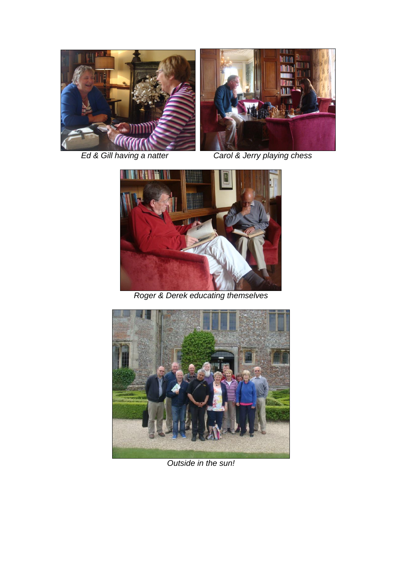



*Ed & Gill having a natter Carol & Jerry playing chess*



*Roger & Derek educating themselves*



*Outside in the sun!*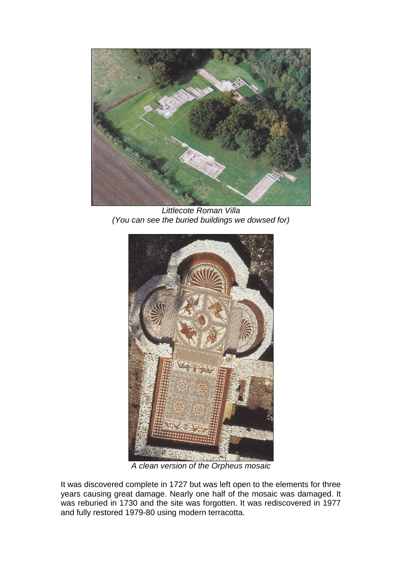

*Littlecote Roman Villa (You can see the buried buildings we dowsed for)*



*A clean version of the Orpheus mosaic*

It was discovered complete in 1727 but was left open to the elements for three years causing great damage. Nearly one half of the mosaic was damaged. It was reburied in 1730 and the site was forgotten. It was rediscovered in 1977 and fully restored 1979-80 using modern terracotta.